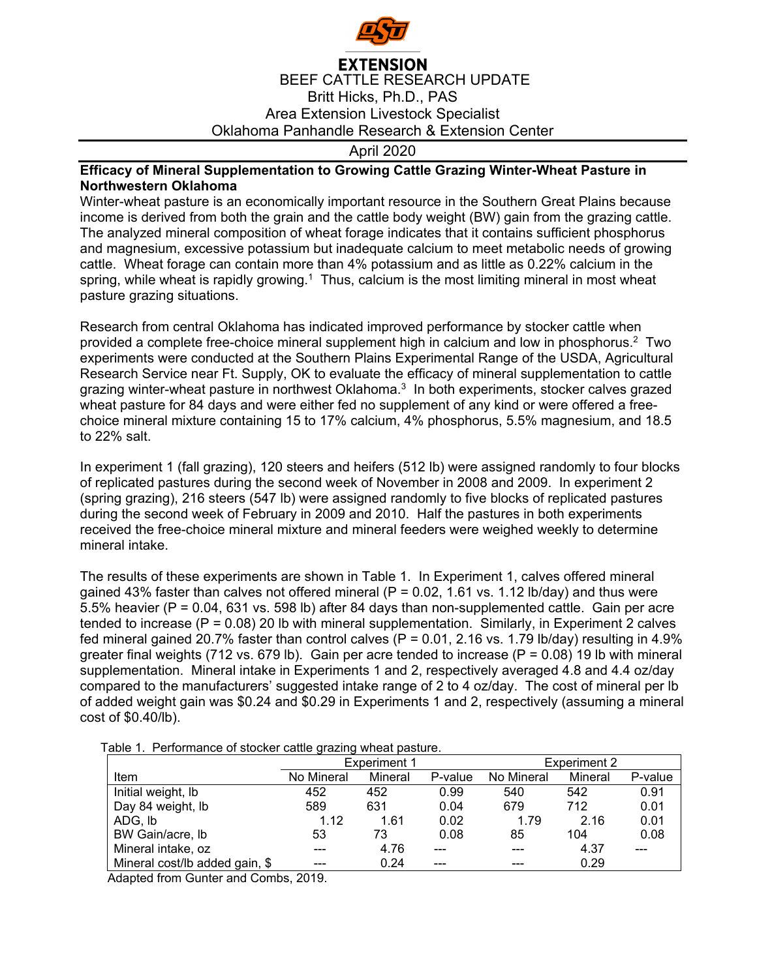

## **EXTENSION** BEEF CATTLE RESEARCH UPDATE Britt Hicks, Ph.D., PAS Area Extension Livestock Specialist Oklahoma Panhandle Research & Extension Center

April 2020

## **Efficacy of Mineral Supplementation to Growing Cattle Grazing Winter-Wheat Pasture in Northwestern Oklahoma**

Winter-wheat pasture is an economically important resource in the Southern Great Plains because income is derived from both the grain and the cattle body weight (BW) gain from the grazing cattle. The analyzed mineral composition of wheat forage indicates that it contains sufficient phosphorus and magnesium, excessive potassium but inadequate calcium to meet metabolic needs of growing cattle. Wheat forage can contain more than 4% potassium and as little as 0.22% calcium in the spring, while wheat is rapidly growing.<sup>1</sup> Thus, calcium is the most limiting mineral in most wheat pasture grazing situations.

Research from central Oklahoma has indicated improved performance by stocker cattle when provided a complete free-choice mineral supplement high in calcium and low in phosphorus.2 Two experiments were conducted at the Southern Plains Experimental Range of the USDA, Agricultural Research Service near Ft. Supply, OK to evaluate the efficacy of mineral supplementation to cattle grazing winter-wheat pasture in northwest Oklahoma.3 In both experiments, stocker calves grazed wheat pasture for 84 days and were either fed no supplement of any kind or were offered a freechoice mineral mixture containing 15 to 17% calcium, 4% phosphorus, 5.5% magnesium, and 18.5 to 22% salt.

In experiment 1 (fall grazing), 120 steers and heifers (512 lb) were assigned randomly to four blocks of replicated pastures during the second week of November in 2008 and 2009. In experiment 2 (spring grazing), 216 steers (547 lb) were assigned randomly to five blocks of replicated pastures during the second week of February in 2009 and 2010. Half the pastures in both experiments received the free-choice mineral mixture and mineral feeders were weighed weekly to determine mineral intake.

The results of these experiments are shown in Table 1. In Experiment 1, calves offered mineral gained 43% faster than calves not offered mineral ( $P = 0.02$ , 1.61 vs. 1.12 lb/day) and thus were 5.5% heavier (P = 0.04, 631 vs. 598 lb) after 84 days than non-supplemented cattle. Gain per acre tended to increase (P = 0.08) 20 lb with mineral supplementation. Similarly, in Experiment 2 calves fed mineral gained 20.7% faster than control calves ( $P = 0.01$ , 2.16 vs. 1.79 lb/day) resulting in 4.9% greater final weights (712 vs. 679 lb). Gain per acre tended to increase ( $P = 0.08$ ) 19 lb with mineral supplementation. Mineral intake in Experiments 1 and 2, respectively averaged 4.8 and 4.4 oz/day compared to the manufacturers' suggested intake range of 2 to 4 oz/day. The cost of mineral per lb of added weight gain was \$0.24 and \$0.29 in Experiments 1 and 2, respectively (assuming a mineral cost of \$0.40/lb).

Table 1. Performance of stocker cattle grazing wheat pasture.

|                                | <b>Experiment 1</b> |         |         | <b>Experiment 2</b> |         |         |
|--------------------------------|---------------------|---------|---------|---------------------|---------|---------|
| Item                           | No Mineral          | Mineral | P-value | No Mineral          | Mineral | P-value |
| Initial weight, lb             | 452                 | 452     | 0.99    | 540                 | 542     | 0.91    |
| Day 84 weight, lb              | 589                 | 631     | 0.04    | 679                 | 712     | 0.01    |
| ADG, lb                        | 1.12                | 1.61    | 0.02    | 1.79                | 2.16    | 0.01    |
| BW Gain/acre, lb               | 53                  | 73      | 0.08    | 85                  | 104     | 0.08    |
| Mineral intake, oz             | $- - -$             | 4.76    |         | ---                 | 4.37    |         |
| Mineral cost/lb added gain, \$ | $- - -$             | 0.24    | ---     | ---                 | 0.29    |         |

Adapted from Gunter and Combs, 2019.